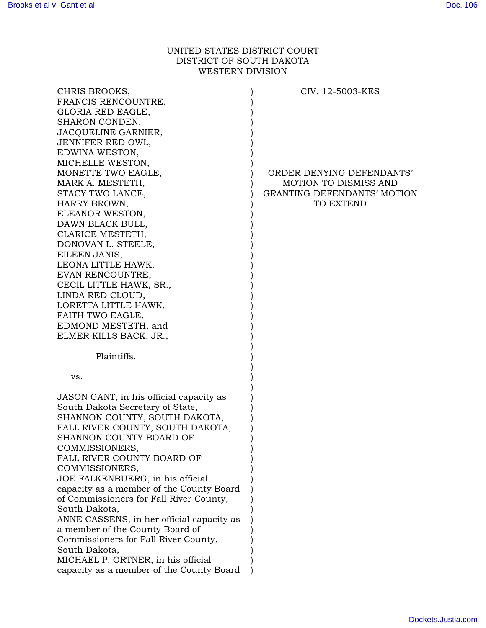# UNITED STATES DISTRICT COURT DISTRICT OF SOUTH DAKOTA WESTERN DIVISION

| CHRIS BROOKS,<br>FRANCIS RENCOUNTRE,<br>GLORIA RED EAGLE,<br>SHARON CONDEN,<br>JACQUELINE GARNIER,<br>JENNIFER RED OWL,<br>EDWINA WESTON,<br>MICHELLE WESTON,<br>MONETTE TWO EAGLE,<br>ORDER DENYING DEFENDANTS'<br>MARK A. MESTETH,<br><b>MOTION TO DISMISS AND</b><br><b>GRANTING DEFENDANTS' MOTION</b><br>STACY TWO LANCE,<br>HARRY BROWN,<br>TO EXTEND<br>ELEANOR WESTON,<br>DAWN BLACK BULL,<br>CLARICE MESTETH,<br>DONOVAN L. STEELE,<br>EILEEN JANIS,<br>LEONA LITTLE HAWK,<br>EVAN RENCOUNTRE,<br>CECIL LITTLE HAWK, SR.,<br>LINDA RED CLOUD,<br>LORETTA LITTLE HAWK,<br>FAITH TWO EAGLE,<br>EDMOND MESTETH, and<br>ELMER KILLS BACK, JR.,<br>Plaintiffs, |
|--------------------------------------------------------------------------------------------------------------------------------------------------------------------------------------------------------------------------------------------------------------------------------------------------------------------------------------------------------------------------------------------------------------------------------------------------------------------------------------------------------------------------------------------------------------------------------------------------------------------------------------------------------------------|
|                                                                                                                                                                                                                                                                                                                                                                                                                                                                                                                                                                                                                                                                    |
|                                                                                                                                                                                                                                                                                                                                                                                                                                                                                                                                                                                                                                                                    |
|                                                                                                                                                                                                                                                                                                                                                                                                                                                                                                                                                                                                                                                                    |
|                                                                                                                                                                                                                                                                                                                                                                                                                                                                                                                                                                                                                                                                    |
|                                                                                                                                                                                                                                                                                                                                                                                                                                                                                                                                                                                                                                                                    |
|                                                                                                                                                                                                                                                                                                                                                                                                                                                                                                                                                                                                                                                                    |
|                                                                                                                                                                                                                                                                                                                                                                                                                                                                                                                                                                                                                                                                    |
|                                                                                                                                                                                                                                                                                                                                                                                                                                                                                                                                                                                                                                                                    |
|                                                                                                                                                                                                                                                                                                                                                                                                                                                                                                                                                                                                                                                                    |
|                                                                                                                                                                                                                                                                                                                                                                                                                                                                                                                                                                                                                                                                    |
|                                                                                                                                                                                                                                                                                                                                                                                                                                                                                                                                                                                                                                                                    |
|                                                                                                                                                                                                                                                                                                                                                                                                                                                                                                                                                                                                                                                                    |
|                                                                                                                                                                                                                                                                                                                                                                                                                                                                                                                                                                                                                                                                    |
|                                                                                                                                                                                                                                                                                                                                                                                                                                                                                                                                                                                                                                                                    |
|                                                                                                                                                                                                                                                                                                                                                                                                                                                                                                                                                                                                                                                                    |
|                                                                                                                                                                                                                                                                                                                                                                                                                                                                                                                                                                                                                                                                    |
|                                                                                                                                                                                                                                                                                                                                                                                                                                                                                                                                                                                                                                                                    |
|                                                                                                                                                                                                                                                                                                                                                                                                                                                                                                                                                                                                                                                                    |
|                                                                                                                                                                                                                                                                                                                                                                                                                                                                                                                                                                                                                                                                    |
|                                                                                                                                                                                                                                                                                                                                                                                                                                                                                                                                                                                                                                                                    |
|                                                                                                                                                                                                                                                                                                                                                                                                                                                                                                                                                                                                                                                                    |
|                                                                                                                                                                                                                                                                                                                                                                                                                                                                                                                                                                                                                                                                    |
|                                                                                                                                                                                                                                                                                                                                                                                                                                                                                                                                                                                                                                                                    |
|                                                                                                                                                                                                                                                                                                                                                                                                                                                                                                                                                                                                                                                                    |
|                                                                                                                                                                                                                                                                                                                                                                                                                                                                                                                                                                                                                                                                    |
|                                                                                                                                                                                                                                                                                                                                                                                                                                                                                                                                                                                                                                                                    |
|                                                                                                                                                                                                                                                                                                                                                                                                                                                                                                                                                                                                                                                                    |
| VS.                                                                                                                                                                                                                                                                                                                                                                                                                                                                                                                                                                                                                                                                |
|                                                                                                                                                                                                                                                                                                                                                                                                                                                                                                                                                                                                                                                                    |
| JASON GANT, in his official capacity as                                                                                                                                                                                                                                                                                                                                                                                                                                                                                                                                                                                                                            |
| South Dakota Secretary of State,                                                                                                                                                                                                                                                                                                                                                                                                                                                                                                                                                                                                                                   |
| SHANNON COUNTY, SOUTH DAKOTA,                                                                                                                                                                                                                                                                                                                                                                                                                                                                                                                                                                                                                                      |
| FALL RIVER COUNTY, SOUTH DAKOTA,                                                                                                                                                                                                                                                                                                                                                                                                                                                                                                                                                                                                                                   |
| SHANNON COUNTY BOARD OF                                                                                                                                                                                                                                                                                                                                                                                                                                                                                                                                                                                                                                            |
| COMMISSIONERS,                                                                                                                                                                                                                                                                                                                                                                                                                                                                                                                                                                                                                                                     |
| FALL RIVER COUNTY BOARD OF                                                                                                                                                                                                                                                                                                                                                                                                                                                                                                                                                                                                                                         |
| COMMISSIONERS,                                                                                                                                                                                                                                                                                                                                                                                                                                                                                                                                                                                                                                                     |
| JOE FALKENBUERG, in his official                                                                                                                                                                                                                                                                                                                                                                                                                                                                                                                                                                                                                                   |
| capacity as a member of the County Board                                                                                                                                                                                                                                                                                                                                                                                                                                                                                                                                                                                                                           |
| of Commissioners for Fall River County,                                                                                                                                                                                                                                                                                                                                                                                                                                                                                                                                                                                                                            |
| South Dakota,                                                                                                                                                                                                                                                                                                                                                                                                                                                                                                                                                                                                                                                      |
| ANNE CASSENS, in her official capacity as                                                                                                                                                                                                                                                                                                                                                                                                                                                                                                                                                                                                                          |
| a member of the County Board of                                                                                                                                                                                                                                                                                                                                                                                                                                                                                                                                                                                                                                    |
| Commissioners for Fall River County,                                                                                                                                                                                                                                                                                                                                                                                                                                                                                                                                                                                                                               |
| South Dakota,                                                                                                                                                                                                                                                                                                                                                                                                                                                                                                                                                                                                                                                      |
| MICHAEL P. ORTNER, in his official                                                                                                                                                                                                                                                                                                                                                                                                                                                                                                                                                                                                                                 |
| capacity as a member of the County Board                                                                                                                                                                                                                                                                                                                                                                                                                                                                                                                                                                                                                           |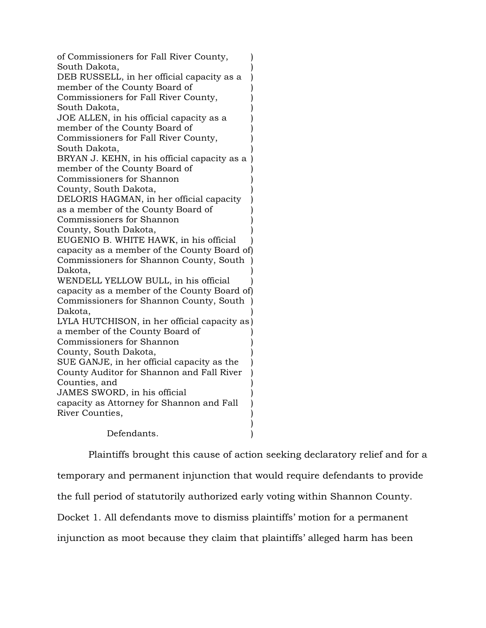of Commissioners for Fall River County, South Dakota, DEB RUSSELL, in her official capacity as a member of the County Board of Commissioners for Fall River County, South Dakota, JOE ALLEN, in his official capacity as a member of the County Board of Commissioners for Fall River County, South Dakota, BRYAN J. KEHN, in his official capacity as a ) member of the County Board of Commissioners for Shannon County, South Dakota, DELORIS HAGMAN, in her official capacity as a member of the County Board of Commissioners for Shannon County, South Dakota, EUGENIO B. WHITE HAWK, in his official capacity as a member of the County Board of ) Commissioners for Shannon County, South ) Dakota, WENDELL YELLOW BULL, in his official capacity as a member of the County Board of ) Commissioners for Shannon County, South ) Dakota, LYLA HUTCHISON, in her official capacity as ) a member of the County Board of Commissioners for Shannon County, South Dakota, SUE GANJE, in her official capacity as the County Auditor for Shannon and Fall River Counties, and JAMES SWORD, in his official capacity as Attorney for Shannon and Fall River Counties, ) ) ) ) ) ) ) ) ) ) ) ) ) ) ) ) ) ) ) ) ) ) ) ) ) ) ) ) ) ) )

Defendants.

Plaintiffs brought this cause of action seeking declaratory relief and for a temporary and permanent injunction that would require defendants to provide the full period of statutorily authorized early voting within Shannon County. Docket 1. All defendants move to dismiss plaintiffs' motion for a permanent injunction as moot because they claim that plaintiffs' alleged harm has been

)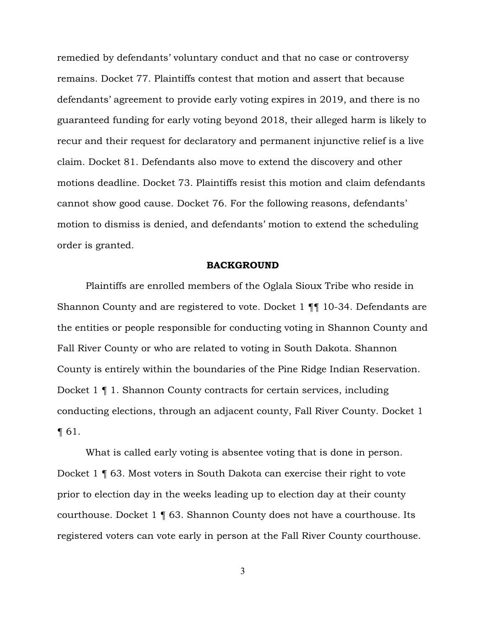remedied by defendants' voluntary conduct and that no case or controversy remains. Docket 77. Plaintiffs contest that motion and assert that because defendants' agreement to provide early voting expires in 2019, and there is no guaranteed funding for early voting beyond 2018, their alleged harm is likely to recur and their request for declaratory and permanent injunctive relief is a live claim. Docket 81. Defendants also move to extend the discovery and other motions deadline. Docket 73. Plaintiffs resist this motion and claim defendants cannot show good cause. Docket 76. For the following reasons, defendants' motion to dismiss is denied, and defendants' motion to extend the scheduling order is granted.

#### BACKGROUND

Plaintiffs are enrolled members of the Oglala Sioux Tribe who reside in Shannon County and are registered to vote. Docket 1 ¶¶ 10-34. Defendants are the entities or people responsible for conducting voting in Shannon County and Fall River County or who are related to voting in South Dakota. Shannon County is entirely within the boundaries of the Pine Ridge Indian Reservation. Docket 1 ¶ 1. Shannon County contracts for certain services, including conducting elections, through an adjacent county, Fall River County. Docket 1 ¶ 61.

What is called early voting is absentee voting that is done in person. Docket 1 ¶ 63. Most voters in South Dakota can exercise their right to vote prior to election day in the weeks leading up to election day at their county courthouse. Docket 1 ¶ 63. Shannon County does not have a courthouse. Its registered voters can vote early in person at the Fall River County courthouse.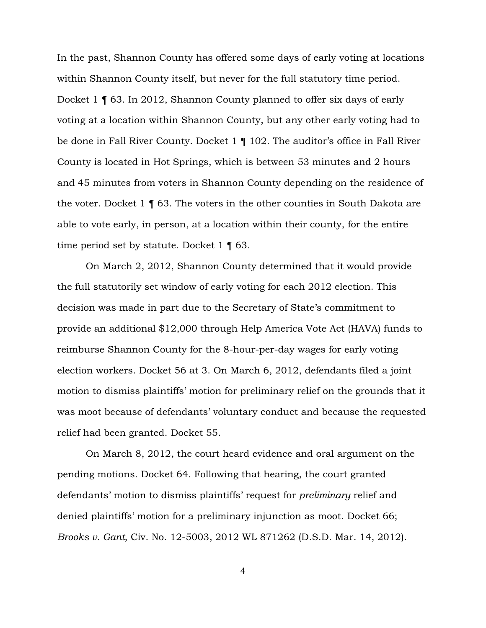In the past, Shannon County has offered some days of early voting at locations within Shannon County itself, but never for the full statutory time period. Docket 1 ¶ 63. In 2012, Shannon County planned to offer six days of early voting at a location within Shannon County, but any other early voting had to be done in Fall River County. Docket 1 ¶ 102. The auditor's office in Fall River County is located in Hot Springs, which is between 53 minutes and 2 hours and 45 minutes from voters in Shannon County depending on the residence of the voter. Docket 1 ¶ 63. The voters in the other counties in South Dakota are able to vote early, in person, at a location within their county, for the entire time period set by statute. Docket 1 ¶ 63.

On March 2, 2012, Shannon County determined that it would provide the full statutorily set window of early voting for each 2012 election. This decision was made in part due to the Secretary of State's commitment to provide an additional \$12,000 through Help America Vote Act (HAVA) funds to reimburse Shannon County for the 8-hour-per-day wages for early voting election workers. Docket 56 at 3. On March 6, 2012, defendants filed a joint motion to dismiss plaintiffs' motion for preliminary relief on the grounds that it was moot because of defendants' voluntary conduct and because the requested relief had been granted. Docket 55.

On March 8, 2012, the court heard evidence and oral argument on the pending motions. Docket 64. Following that hearing, the court granted defendants' motion to dismiss plaintiffs' request for *preliminary* relief and denied plaintiffs' motion for a preliminary injunction as moot. Docket 66; *Brooks v. Gant*, Civ. No. 12-5003, 2012 WL 871262 (D.S.D. Mar. 14, 2012).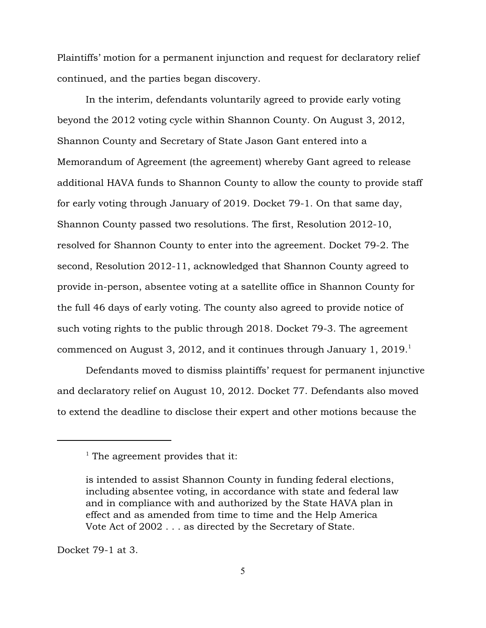Plaintiffs' motion for a permanent injunction and request for declaratory relief continued, and the parties began discovery.

In the interim, defendants voluntarily agreed to provide early voting beyond the 2012 voting cycle within Shannon County. On August 3, 2012, Shannon County and Secretary of State Jason Gant entered into a Memorandum of Agreement (the agreement) whereby Gant agreed to release additional HAVA funds to Shannon County to allow the county to provide staff for early voting through January of 2019. Docket 79-1. On that same day, Shannon County passed two resolutions. The first, Resolution 2012-10, resolved for Shannon County to enter into the agreement. Docket 79-2. The second, Resolution 2012-11, acknowledged that Shannon County agreed to provide in-person, absentee voting at a satellite office in Shannon County for the full 46 days of early voting. The county also agreed to provide notice of such voting rights to the public through 2018. Docket 79-3. The agreement commenced on August 3, 2012, and it continues through January 1, 2019. $^{\rm l}$ 

Defendants moved to dismiss plaintiffs' request for permanent injunctive and declaratory relief on August 10, 2012. Docket 77. Defendants also moved to extend the deadline to disclose their expert and other motions because the

Docket 79-1 at 3.

 $1$ <sup>1</sup> The agreement provides that it:

is intended to assist Shannon County in funding federal elections, including absentee voting, in accordance with state and federal law and in compliance with and authorized by the State HAVA plan in effect and as amended from time to time and the Help America Vote Act of 2002 . . . as directed by the Secretary of State.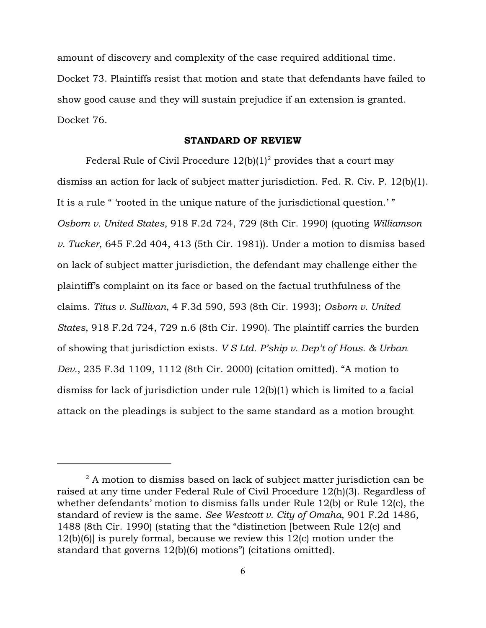amount of discovery and complexity of the case required additional time. Docket 73. Plaintiffs resist that motion and state that defendants have failed to show good cause and they will sustain prejudice if an extension is granted. Docket 76.

### STANDARD OF REVIEW

Federal Rule of Civil Procedure  $12(b)(1)^2$  provides that a court may dismiss an action for lack of subject matter jurisdiction. Fed. R. Civ. P. 12(b)(1). It is a rule " 'rooted in the unique nature of the jurisdictional question.' " *Osborn v. United States*, 918 F.2d 724, 729 (8th Cir. 1990) (quoting *Williamson v. Tucker*, 645 F.2d 404, 413 (5th Cir. 1981)). Under a motion to dismiss based on lack of subject matter jurisdiction, the defendant may challenge either the plaintiff's complaint on its face or based on the factual truthfulness of the claims. *Titus v. Sullivan*, 4 F.3d 590, 593 (8th Cir. 1993); *Osborn v. United States*, 918 F.2d 724, 729 n.6 (8th Cir. 1990). The plaintiff carries the burden of showing that jurisdiction exists. *V S Ltd. P'ship v. Dep't of Hous. & Urban Dev.*, 235 F.3d 1109, 1112 (8th Cir. 2000) (citation omitted). "A motion to dismiss for lack of jurisdiction under rule 12(b)(1) which is limited to a facial attack on the pleadings is subject to the same standard as a motion brought

 $2$  A motion to dismiss based on lack of subject matter jurisdiction can be raised at any time under Federal Rule of Civil Procedure 12(h)(3). Regardless of whether defendants' motion to dismiss falls under Rule 12(b) or Rule 12(c), the standard of review is the same. *See Westcott v. City of Omaha*, 901 F.2d 1486, 1488 (8th Cir. 1990) (stating that the "distinction [between Rule 12(c) and 12(b)(6)] is purely formal, because we review this 12(c) motion under the standard that governs 12(b)(6) motions") (citations omitted).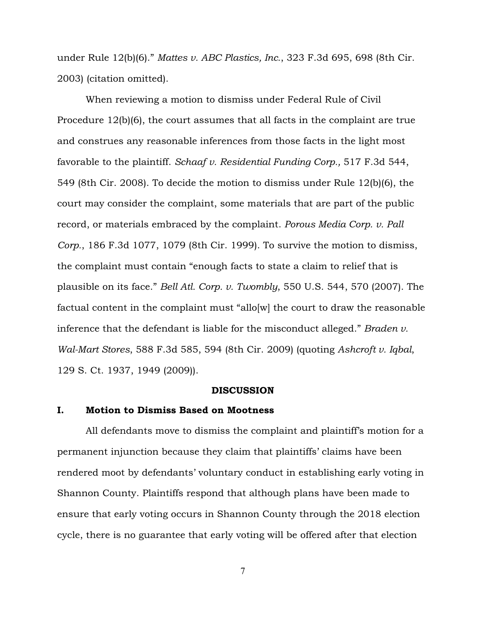under Rule 12(b)(6)." *Mattes v. ABC Plastics, Inc.*, 323 F.3d 695, 698 (8th Cir. 2003) (citation omitted).

When reviewing a motion to dismiss under Federal Rule of Civil Procedure 12(b)(6), the court assumes that all facts in the complaint are true and construes any reasonable inferences from those facts in the light most favorable to the plaintiff. *Schaaf v. Residential Funding Corp.,* 517 F.3d 544, 549 (8th Cir. 2008). To decide the motion to dismiss under Rule 12(b)(6), the court may consider the complaint, some materials that are part of the public record, or materials embraced by the complaint. *Porous Media Corp. v. Pall Corp.*, 186 F.3d 1077, 1079 (8th Cir. 1999). To survive the motion to dismiss, the complaint must contain "enough facts to state a claim to relief that is plausible on its face." *Bell Atl. Corp. v. Twombly*, 550 U.S. 544, 570 (2007). The factual content in the complaint must "allo[w] the court to draw the reasonable inference that the defendant is liable for the misconduct alleged." *Braden v. Wal-Mart Stores*, 588 F.3d 585, 594 (8th Cir. 2009) (quoting *Ashcroft v. Iqbal*, 129 S. Ct. 1937, 1949 (2009)).

#### DISCUSSION

# I. Motion to Dismiss Based on Mootness

All defendants move to dismiss the complaint and plaintiff's motion for a permanent injunction because they claim that plaintiffs' claims have been rendered moot by defendants' voluntary conduct in establishing early voting in Shannon County. Plaintiffs respond that although plans have been made to ensure that early voting occurs in Shannon County through the 2018 election cycle, there is no guarantee that early voting will be offered after that election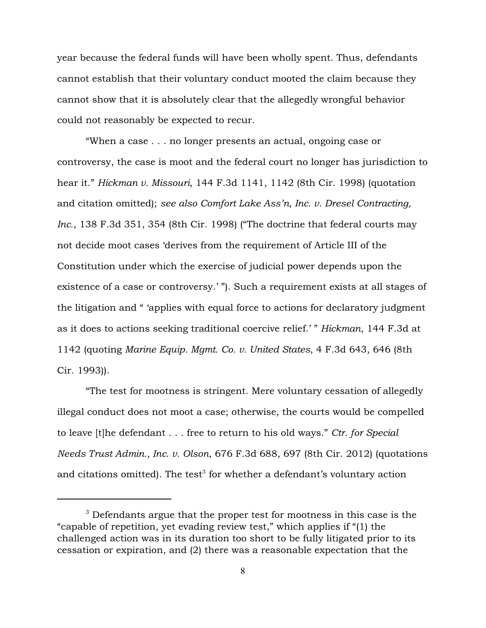year because the federal funds will have been wholly spent. Thus, defendants cannot establish that their voluntary conduct mooted the claim because they cannot show that it is absolutely clear that the allegedly wrongful behavior could not reasonably be expected to recur.

"When a case . . . no longer presents an actual, ongoing case or controversy, the case is moot and the federal court no longer has jurisdiction to hear it." *Hickman v. Missouri*, 144 F.3d 1141, 1142 (8th Cir. 1998) (quotation and citation omitted); *see also Comfort Lake Ass'n, Inc. v. Dresel Contracting, Inc.*, 138 F.3d 351, 354 (8th Cir. 1998) ("The doctrine that federal courts may not decide moot cases 'derives from the requirement of Article III of the Constitution under which the exercise of judicial power depends upon the existence of a case or controversy.' "). Such a requirement exists at all stages of the litigation and " 'applies with equal force to actions for declaratory judgment as it does to actions seeking traditional coercive relief.' " *Hickman*, 144 F.3d at 1142 (quoting *Marine Equip. Mgmt. Co. v. United States*, 4 F.3d 643, 646 (8th Cir. 1993)).

"The test for mootness is stringent. Mere voluntary cessation of allegedly illegal conduct does not moot a case; otherwise, the courts would be compelled to leave [t]he defendant . . . free to return to his old ways." *Ctr. for Special Needs Trust Admin., Inc. v. Olson*, 676 F.3d 688, 697 (8th Cir. 2012) (quotations and citations omitted). The test<sup>3</sup> for whether a defendant's voluntary action

 $3$  Defendants argue that the proper test for mootness in this case is the "capable of repetition, yet evading review test," which applies if "(1) the challenged action was in its duration too short to be fully litigated prior to its cessation or expiration, and (2) there was a reasonable expectation that the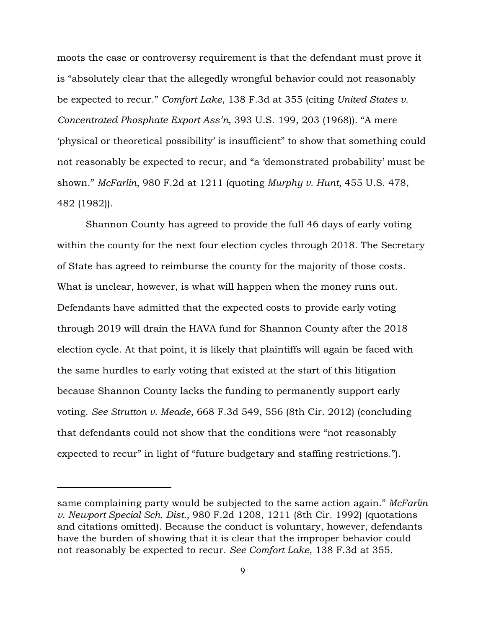moots the case or controversy requirement is that the defendant must prove it is "absolutely clear that the allegedly wrongful behavior could not reasonably be expected to recur." *Comfort Lake*, 138 F.3d at 355 (citing *United States v. Concentrated Phosphate Export Ass'n*, 393 U.S. 199, 203 (1968)). "A mere 'physical or theoretical possibility' is insufficient" to show that something could not reasonably be expected to recur, and "a 'demonstrated probability' must be shown." *McFarlin*, 980 F.2d at 1211 (quoting *Murphy v. Hunt*, 455 U.S. 478, 482 (1982)).

Shannon County has agreed to provide the full 46 days of early voting within the county for the next four election cycles through 2018. The Secretary of State has agreed to reimburse the county for the majority of those costs. What is unclear, however, is what will happen when the money runs out. Defendants have admitted that the expected costs to provide early voting through 2019 will drain the HAVA fund for Shannon County after the 2018 election cycle. At that point, it is likely that plaintiffs will again be faced with the same hurdles to early voting that existed at the start of this litigation because Shannon County lacks the funding to permanently support early voting. *See Strutton v. Meade*, 668 F.3d 549, 556 (8th Cir. 2012) (concluding that defendants could not show that the conditions were "not reasonably expected to recur" in light of "future budgetary and staffing restrictions.").

same complaining party would be subjected to the same action again." *McFarlin v. Newport Special Sch. Dist.*, 980 F.2d 1208, 1211 (8th Cir. 1992) (quotations and citations omitted). Because the conduct is voluntary, however, defendants have the burden of showing that it is clear that the improper behavior could not reasonably be expected to recur. *See Comfort Lake*, 138 F.3d at 355.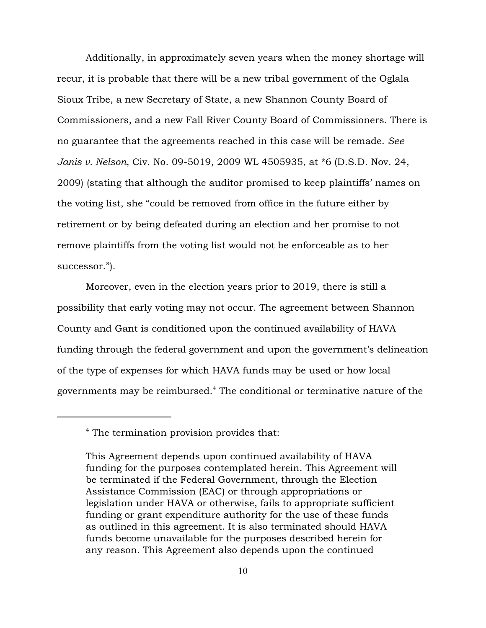Additionally, in approximately seven years when the money shortage will recur, it is probable that there will be a new tribal government of the Oglala Sioux Tribe, a new Secretary of State, a new Shannon County Board of Commissioners, and a new Fall River County Board of Commissioners. There is no guarantee that the agreements reached in this case will be remade. *See Janis v. Nelson*, Civ. No. 09-5019, 2009 WL 4505935, at \*6 (D.S.D. Nov. 24, 2009) (stating that although the auditor promised to keep plaintiffs' names on the voting list, she "could be removed from office in the future either by retirement or by being defeated during an election and her promise to not remove plaintiffs from the voting list would not be enforceable as to her successor.").

Moreover, even in the election years prior to 2019, there is still a possibility that early voting may not occur. The agreement between Shannon County and Gant is conditioned upon the continued availability of HAVA funding through the federal government and upon the government's delineation of the type of expenses for which HAVA funds may be used or how local governments may be reimbursed.<sup>4</sup> The conditional or terminative nature of the

 $4$  The termination provision provides that:

This Agreement depends upon continued availability of HAVA funding for the purposes contemplated herein. This Agreement will be terminated if the Federal Government, through the Election Assistance Commission (EAC) or through appropriations or legislation under HAVA or otherwise, fails to appropriate sufficient funding or grant expenditure authority for the use of these funds as outlined in this agreement. It is also terminated should HAVA funds become unavailable for the purposes described herein for any reason. This Agreement also depends upon the continued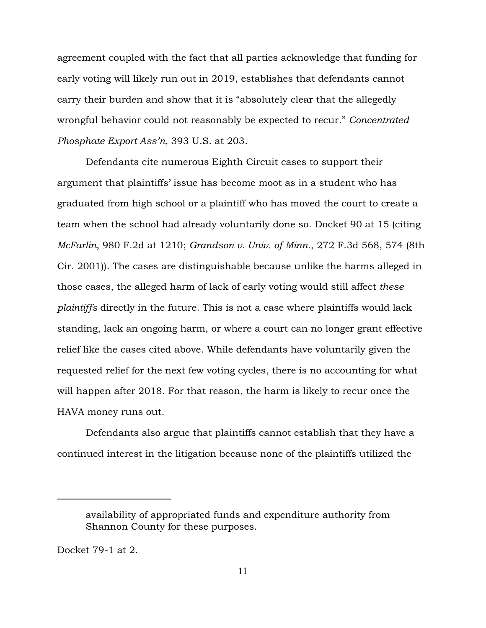agreement coupled with the fact that all parties acknowledge that funding for early voting will likely run out in 2019, establishes that defendants cannot carry their burden and show that it is "absolutely clear that the allegedly wrongful behavior could not reasonably be expected to recur." *Concentrated Phosphate Export Ass'n*, 393 U.S. at 203.

Defendants cite numerous Eighth Circuit cases to support their argument that plaintiffs' issue has become moot as in a student who has graduated from high school or a plaintiff who has moved the court to create a team when the school had already voluntarily done so. Docket 90 at 15 (citing *McFarlin*, 980 F.2d at 1210; *Grandson v. Univ. of Minn.*, 272 F.3d 568, 574 (8th Cir. 2001)). The cases are distinguishable because unlike the harms alleged in those cases, the alleged harm of lack of early voting would still affect *these plaintiffs* directly in the future. This is not a case where plaintiffs would lack standing, lack an ongoing harm, or where a court can no longer grant effective relief like the cases cited above. While defendants have voluntarily given the requested relief for the next few voting cycles, there is no accounting for what will happen after 2018. For that reason, the harm is likely to recur once the HAVA money runs out.

Defendants also argue that plaintiffs cannot establish that they have a continued interest in the litigation because none of the plaintiffs utilized the

Docket 79-1 at 2.

availability of appropriated funds and expenditure authority from Shannon County for these purposes.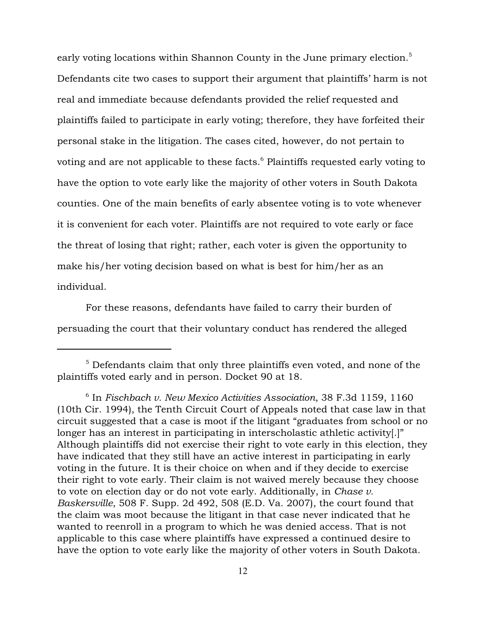early voting locations within Shannon County in the June primary election.<sup>5</sup> Defendants cite two cases to support their argument that plaintiffs' harm is not real and immediate because defendants provided the relief requested and plaintiffs failed to participate in early voting; therefore, they have forfeited their personal stake in the litigation. The cases cited, however, do not pertain to voting and are not applicable to these facts.<sup>6</sup> Plaintiffs requested early voting to have the option to vote early like the majority of other voters in South Dakota counties. One of the main benefits of early absentee voting is to vote whenever it is convenient for each voter. Plaintiffs are not required to vote early or face the threat of losing that right; rather, each voter is given the opportunity to make his/her voting decision based on what is best for him/her as an individual.

For these reasons, defendants have failed to carry their burden of persuading the court that their voluntary conduct has rendered the alleged

 $^5$  Defendants claim that only three plaintiffs even voted, and none of the  $\,$ plaintiffs voted early and in person. Docket 90 at 18.

<sup>&</sup>lt;sup>6</sup> In *Fischbach v. New Mexico Activities Association*, 38 F.3d 1159, 1160 (10th Cir. 1994), the Tenth Circuit Court of Appeals noted that case law in that circuit suggested that a case is moot if the litigant "graduates from school or no longer has an interest in participating in interscholastic athletic activity.]" Although plaintiffs did not exercise their right to vote early in this election, they have indicated that they still have an active interest in participating in early voting in the future. It is their choice on when and if they decide to exercise their right to vote early. Their claim is not waived merely because they choose to vote on election day or do not vote early. Additionally, in *Chase v. Baskersville*, 508 F. Supp. 2d 492, 508 (E.D. Va. 2007), the court found that the claim was moot because the litigant in that case never indicated that he wanted to reenroll in a program to which he was denied access. That is not applicable to this case where plaintiffs have expressed a continued desire to have the option to vote early like the majority of other voters in South Dakota.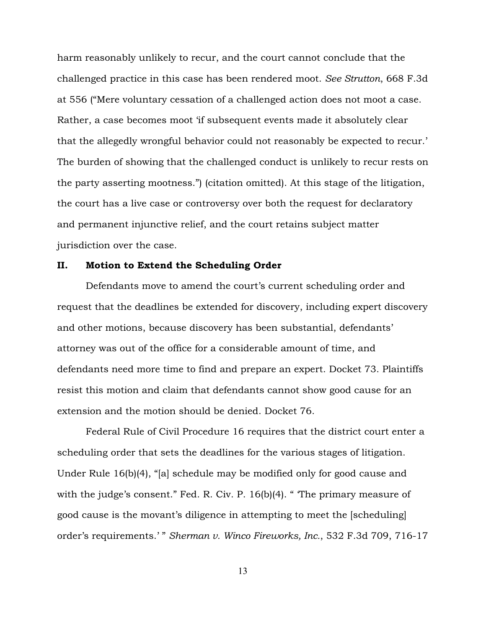harm reasonably unlikely to recur, and the court cannot conclude that the challenged practice in this case has been rendered moot. *See Strutton*, 668 F.3d at 556 ("Mere voluntary cessation of a challenged action does not moot a case. Rather, a case becomes moot 'if subsequent events made it absolutely clear that the allegedly wrongful behavior could not reasonably be expected to recur.' The burden of showing that the challenged conduct is unlikely to recur rests on the party asserting mootness.") (citation omitted). At this stage of the litigation, the court has a live case or controversy over both the request for declaratory and permanent injunctive relief, and the court retains subject matter jurisdiction over the case.

# II. Motion to Extend the Scheduling Order

Defendants move to amend the court's current scheduling order and request that the deadlines be extended for discovery, including expert discovery and other motions, because discovery has been substantial, defendants' attorney was out of the office for a considerable amount of time, and defendants need more time to find and prepare an expert. Docket 73. Plaintiffs resist this motion and claim that defendants cannot show good cause for an extension and the motion should be denied. Docket 76.

Federal Rule of Civil Procedure 16 requires that the district court enter a scheduling order that sets the deadlines for the various stages of litigation. Under Rule 16(b)(4), "[a] schedule may be modified only for good cause and with the judge's consent." Fed. R. Civ. P. 16(b)(4). "The primary measure of good cause is the movant's diligence in attempting to meet the [scheduling] order's requirements.' " *Sherman v. Winco Fireworks, Inc.*, 532 F.3d 709, 716-17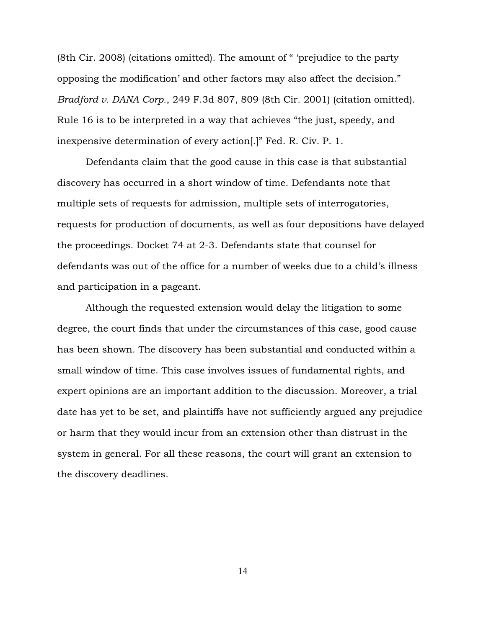(8th Cir. 2008) (citations omitted). The amount of " 'prejudice to the party opposing the modification' and other factors may also affect the decision." *Bradford v. DANA Corp.*, 249 F.3d 807, 809 (8th Cir. 2001) (citation omitted). Rule 16 is to be interpreted in a way that achieves "the just, speedy, and inexpensive determination of every action[.]" Fed. R. Civ. P. 1.

Defendants claim that the good cause in this case is that substantial discovery has occurred in a short window of time. Defendants note that multiple sets of requests for admission, multiple sets of interrogatories, requests for production of documents, as well as four depositions have delayed the proceedings. Docket 74 at 2-3. Defendants state that counsel for defendants was out of the office for a number of weeks due to a child's illness and participation in a pageant.

Although the requested extension would delay the litigation to some degree, the court finds that under the circumstances of this case, good cause has been shown. The discovery has been substantial and conducted within a small window of time. This case involves issues of fundamental rights, and expert opinions are an important addition to the discussion. Moreover, a trial date has yet to be set, and plaintiffs have not sufficiently argued any prejudice or harm that they would incur from an extension other than distrust in the system in general. For all these reasons, the court will grant an extension to the discovery deadlines.